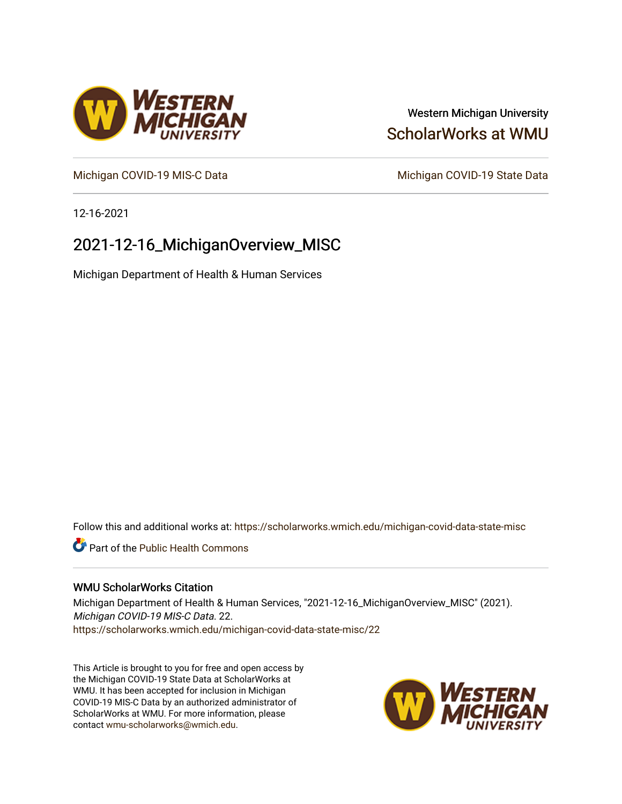# Western Michigan University [ScholarWorks at WMU](https://scholarworks.wmich.edu/)

[Michigan COVID-19 MIS-C Data](https://scholarworks.wmich.edu/michigan-covid-data-state-misc) Michigan COVID-19 State Data

12-16-2021

# 2021-12-16\_MichiganOverview\_MISC

Michigan Department of Health & Human Services

Follow this and additional works at: [https://scholarworks.wmich.edu/michigan-covid-data-state-misc](https://scholarworks.wmich.edu/michigan-covid-data-state-misc?utm_source=scholarworks.wmich.edu%2Fmichigan-covid-data-state-misc%2F22&utm_medium=PDF&utm_campaign=PDFCoverPages) 

**Part of the Public Health Commons** 

### WMU ScholarWorks Citation

Michigan Department of Health & Human Services, "2021-12-16\_MichiganOverview\_MISC" (2021). Michigan COVID-19 MIS-C Data. 22. [https://scholarworks.wmich.edu/michigan-covid-data-state-misc/22](https://scholarworks.wmich.edu/michigan-covid-data-state-misc/22?utm_source=scholarworks.wmich.edu%2Fmichigan-covid-data-state-misc%2F22&utm_medium=PDF&utm_campaign=PDFCoverPages)

This Article is brought to you for free and open access by the Michigan COVID-19 State Data at ScholarWorks at WMU. It has been accepted for inclusion in Michigan COVID-19 MIS-C Data by an authorized administrator of ScholarWorks at WMU. For more information, please contact [wmu-scholarworks@wmich.edu](mailto:wmu-scholarworks@wmich.edu).



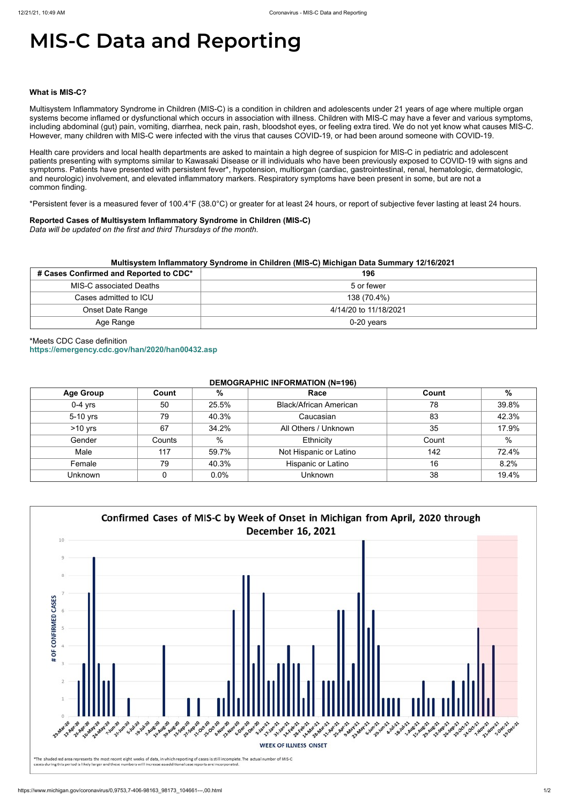# **MIS-C Data and Reporting**

#### **What is MIS-C?**

Multisystem Inflammatory Syndrome in Children (MIS-C) is a condition in children and adolescents under 21 years of age where multiple organ systems become inflamed or dysfunctional which occurs in association with illness. Children with MIS-C may have a fever and various symptoms, including abdominal (gut) pain, vomiting, diarrhea, neck pain, rash, bloodshot eyes, or feeling extra tired. We do not yet know what causes MIS-C. However, many children with MIS-C were infected with the virus that causes COVID-19, or had been around someone with COVID-19.

Health care providers and local health departments are asked to maintain a high degree of suspicion for MIS-C in pediatric and adolescent patients presenting with symptoms similar to Kawasaki Disease or ill individuals who have been previously exposed to COVID-19 with signs and symptoms. Patients have presented with persistent fever\*, hypotension, multiorgan (cardiac, gastrointestinal, renal, hematologic, dermatologic, and neurologic) involvement, and elevated inflammatory markers. Respiratory symptoms have been present in some, but are not a common finding.

\*Persistent fever is a measured fever of 100.4°F (38.0°C) or greater for at least 24 hours, or report of subjective fever lasting at least 24 hours.

#### **Reported Cases of Multisystem Inflammatory Syndrome in Children (MIS-C)**

*Data will be updated on the first and third Thursdays of the month.*

| Multisystem Inflammatory Syndrome in Children (MIS-C) Michigan Data Summary 12/16/2021 |                       |  |  |  |
|----------------------------------------------------------------------------------------|-----------------------|--|--|--|
| # Cases Confirmed and Reported to CDC*                                                 | 196                   |  |  |  |
| MIS-C associated Deaths                                                                | 5 or fewer            |  |  |  |
| Cases admitted to ICU                                                                  | 138 (70.4%)           |  |  |  |
| <b>Onset Date Range</b>                                                                | 4/14/20 to 11/18/2021 |  |  |  |
| Age Range                                                                              | $0-20$ years          |  |  |  |

# \*Meets CDC Case definition **<https://emergency.cdc.gov/han/2020/han00432.asp>**

## **DEMOGRAPHIC INFORMATION (N=196)**

| <b>Age Group</b> | Count  | %     | Race                          | Count | %     |
|------------------|--------|-------|-------------------------------|-------|-------|
| $0-4$ yrs        | 50     | 25.5% | <b>Black/African American</b> | 78    | 39.8% |
| 5-10 yrs         | 79     | 40.3% | Caucasian                     | 83    | 42.3% |
| $>10$ yrs        | 67     | 34.2% | All Others / Unknown          | 35    | 17.9% |
| Gender           | Counts | %     | Ethnicity                     | Count | $\%$  |
| Male             | 117    | 59.7% | Not Hispanic or Latino        | 142   | 72.4% |
| Female           | 79     | 40.3% | Hispanic or Latino            | 16    | 8.2%  |
| <b>Unknown</b>   |        | 0.0%  | <b>Unknown</b>                | 38    | 19.4% |